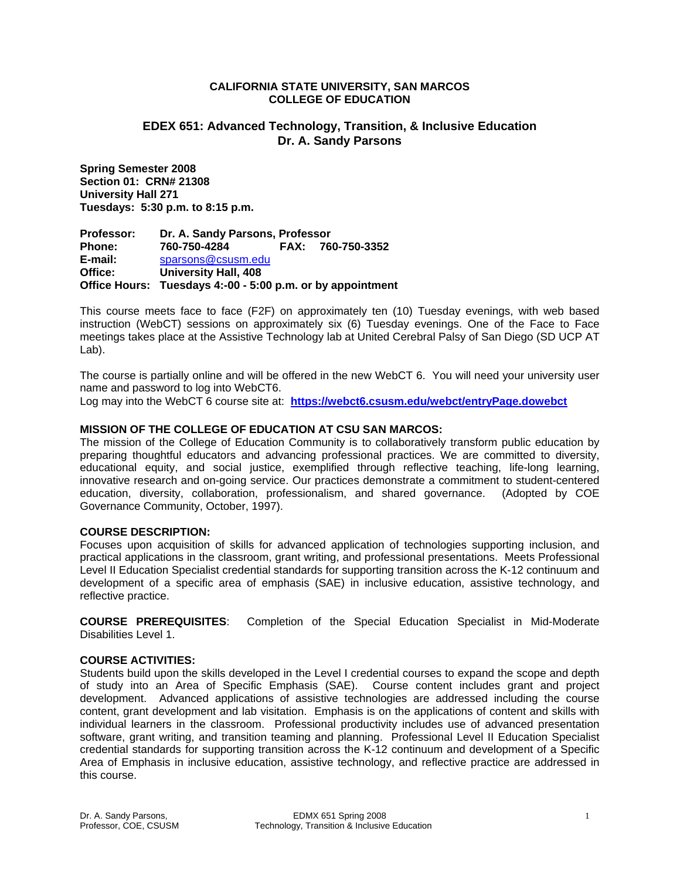#### **CALIFORNIA STATE UNIVERSITY, SAN MARCOS COLLEGE OF EDUCATION**

# **EDEX 651: Advanced Technology, Transition, & Inclusive Education Dr. A. Sandy Parsons**

**Spring Semester 2008 Section 01: CRN# 21308 University Hall 271 Tuesdays: 5:30 p.m. to 8:15 p.m.** 

**Professor: Dr. A. Sandy Parsons, Professor Phone: 760-750-4284 FAX: 760-750-3352 E-mail:** sparsons@csusm.edu **Office: University Hall, 408 Office Hours: Tuesdays 4:-00 - 5:00 p.m. or by appointment** 

This course meets face to face (F2F) on approximately ten (10) Tuesday evenings, with web based instruction (WebCT) sessions on approximately six (6) Tuesday evenings. One of the Face to Face meetings takes place at the Assistive Technology lab at United Cerebral Palsy of San Diego (SD UCP AT Lab).

The course is partially online and will be offered in the new WebCT 6. You will need your university user name and password to log into WebCT6.

Log may into the WebCT 6 course site at: **https://webct6.csusm.edu/webct/entryPage.dowebct** 

# **MISSION OF THE COLLEGE OF EDUCATION AT CSU SAN MARCOS:**

The mission of the College of Education Community is to collaboratively transform public education by preparing thoughtful educators and advancing professional practices. We are committed to diversity, educational equity, and social justice, exemplified through reflective teaching, life-long learning, innovative research and on-going service. Our practices demonstrate a commitment to student-centered education, diversity, collaboration, professionalism, and shared governance. (Adopted by COE Governance Community, October, 1997).

# **COURSE DESCRIPTION:**

Focuses upon acquisition of skills for advanced application of technologies supporting inclusion, and practical applications in the classroom, grant writing, and professional presentations. Meets Professional Level II Education Specialist credential standards for supporting transition across the K-12 continuum and development of a specific area of emphasis (SAE) in inclusive education, assistive technology, and reflective practice.

**COURSE PREREQUISITES**: Completion of the Special Education Specialist in Mid-Moderate Disabilities Level 1.

# **COURSE ACTIVITIES:**

Students build upon the skills developed in the Level I credential courses to expand the scope and depth of study into an Area of Specific Emphasis (SAE). Course content includes grant and project development. Advanced applications of assistive technologies are addressed including the course content, grant development and lab visitation. Emphasis is on the applications of content and skills with individual learners in the classroom. Professional productivity includes use of advanced presentation software, grant writing, and transition teaming and planning. Professional Level II Education Specialist credential standards for supporting transition across the K-12 continuum and development of a Specific Area of Emphasis in inclusive education, assistive technology, and reflective practice are addressed in this course.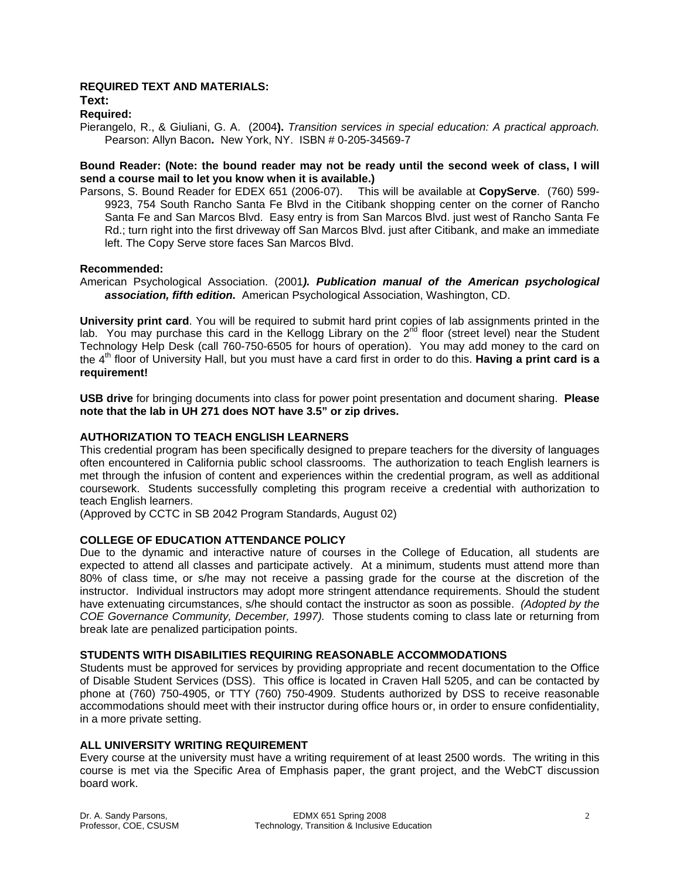# **REQUIRED TEXT AND MATERIALS:**

**Text:** 

#### **Required:**

Pierangelo, R., & Giuliani, G. A. (2004**).** *Transition services in special education: A practical approach.*  Pearson: Allyn Bacon**.** New York, NY. ISBN # 0-205-34569-7

## **Bound Reader: (Note: the bound reader may not be ready until the second week of class, I will send a course mail to let you know when it is available.)**

Parsons, S. Bound Reader for EDEX 651 (2006-07). This will be available at **CopyServe**. (760) 599- 9923, 754 South Rancho Santa Fe Blvd in the Citibank shopping center on the corner of Rancho Santa Fe and San Marcos Blvd. Easy entry is from San Marcos Blvd. just west of Rancho Santa Fe Rd.; turn right into the first driveway off San Marcos Blvd. just after Citibank, and make an immediate left. The Copy Serve store faces San Marcos Blvd.

#### **Recommended:**

American Psychological Association. (2001*). Publication manual of the American psychological association, fifth edition.* American Psychological Association, Washington, CD.

**University print card**. You will be required to submit hard print copies of lab assignments printed in the lab. You may purchase this card in the Kellogg Library on the  $2^{nd}$  floor (street level) near the Student Technology Help Desk (call 760-750-6505 for hours of operation). You may add money to the card on the 4th floor of University Hall, but you must have a card first in order to do this. **Having a print card is a requirement!**

**USB drive** for bringing documents into class for power point presentation and document sharing. **Please note that the lab in UH 271 does NOT have 3.5" or zip drives.**

## **AUTHORIZATION TO TEACH ENGLISH LEARNERS**

This credential program has been specifically designed to prepare teachers for the diversity of languages often encountered in California public school classrooms. The authorization to teach English learners is met through the infusion of content and experiences within the credential program, as well as additional coursework. Students successfully completing this program receive a credential with authorization to teach English learners.

(Approved by CCTC in SB 2042 Program Standards, August 02)

## **COLLEGE OF EDUCATION ATTENDANCE POLICY**

Due to the dynamic and interactive nature of courses in the College of Education, all students are expected to attend all classes and participate actively. At a minimum, students must attend more than 80% of class time, or s/he may not receive a passing grade for the course at the discretion of the instructor. Individual instructors may adopt more stringent attendance requirements. Should the student have extenuating circumstances, s/he should contact the instructor as soon as possible. *(Adopted by the COE Governance Community, December, 1997).* Those students coming to class late or returning from break late are penalized participation points.

# **STUDENTS WITH DISABILITIES REQUIRING REASONABLE ACCOMMODATIONS**

Students must be approved for services by providing appropriate and recent documentation to the Office of Disable Student Services (DSS). This office is located in Craven Hall 5205, and can be contacted by phone at (760) 750-4905, or TTY (760) 750-4909. Students authorized by DSS to receive reasonable accommodations should meet with their instructor during office hours or, in order to ensure confidentiality, in a more private setting.

# **ALL UNIVERSITY WRITING REQUIREMENT**

Every course at the university must have a writing requirement of at least 2500 words. The writing in this course is met via the Specific Area of Emphasis paper, the grant project, and the WebCT discussion board work.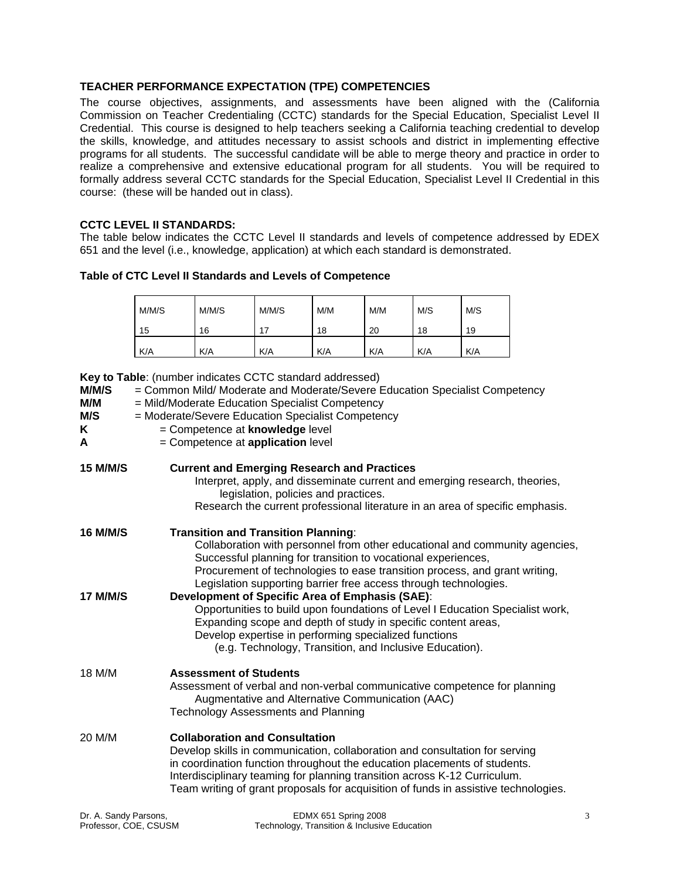# **TEACHER PERFORMANCE EXPECTATION (TPE) COMPETENCIES**

The course objectives, assignments, and assessments have been aligned with the (California Commission on Teacher Credentialing (CCTC) standards for the Special Education, Specialist Level II Credential. This course is designed to help teachers seeking a California teaching credential to develop the skills, knowledge, and attitudes necessary to assist schools and district in implementing effective programs for all students. The successful candidate will be able to merge theory and practice in order to realize a comprehensive and extensive educational program for all students. You will be required to formally address several CCTC standards for the Special Education, Specialist Level II Credential in this course: (these will be handed out in class).

# **CCTC LEVEL II STANDARDS:**

The table below indicates the CCTC Level II standards and levels of competence addressed by EDEX 651 and the level (i.e., knowledge, application) at which each standard is demonstrated.

## **Table of CTC Level II Standards and Levels of Competence**

| M/M/S | M/M/S | M/M/S | M/M | M/M | M/S | M/S |
|-------|-------|-------|-----|-----|-----|-----|
| 15    | 16    | 17    | 18  | 20  | 18  | 19  |
| K/A   | K/A   | K/A   | K/A | K/A | K/A | K/A |

**Key to Table**: (number indicates CCTC standard addressed)

| M/M/S<br>M/M<br>M/S<br>K<br>A | = Common Mild/ Moderate and Moderate/Severe Education Specialist Competency<br>= Mild/Moderate Education Specialist Competency<br>= Moderate/Severe Education Specialist Competency<br>= Competence at knowledge level<br>= Competence at application level                                                                                                           |
|-------------------------------|-----------------------------------------------------------------------------------------------------------------------------------------------------------------------------------------------------------------------------------------------------------------------------------------------------------------------------------------------------------------------|
| <b>15 M/M/S</b>               | <b>Current and Emerging Research and Practices</b><br>Interpret, apply, and disseminate current and emerging research, theories,<br>legislation, policies and practices.<br>Research the current professional literature in an area of specific emphasis.                                                                                                             |
| <b>16 M/M/S</b>               | <b>Transition and Transition Planning:</b><br>Collaboration with personnel from other educational and community agencies,<br>Successful planning for transition to vocational experiences,<br>Procurement of technologies to ease transition process, and grant writing,<br>Legislation supporting barrier free access through technologies.                          |
| <b>17 M/M/S</b>               | <b>Development of Specific Area of Emphasis (SAE):</b><br>Opportunities to build upon foundations of Level I Education Specialist work,<br>Expanding scope and depth of study in specific content areas,<br>Develop expertise in performing specialized functions<br>(e.g. Technology, Transition, and Inclusive Education).                                          |
| 18 M/M                        | <b>Assessment of Students</b><br>Assessment of verbal and non-verbal communicative competence for planning<br>Augmentative and Alternative Communication (AAC)<br><b>Technology Assessments and Planning</b>                                                                                                                                                          |
| 20 M/M                        | <b>Collaboration and Consultation</b><br>Develop skills in communication, collaboration and consultation for serving<br>in coordination function throughout the education placements of students.<br>Interdisciplinary teaming for planning transition across K-12 Curriculum.<br>Team writing of grant proposals for acquisition of funds in assistive technologies. |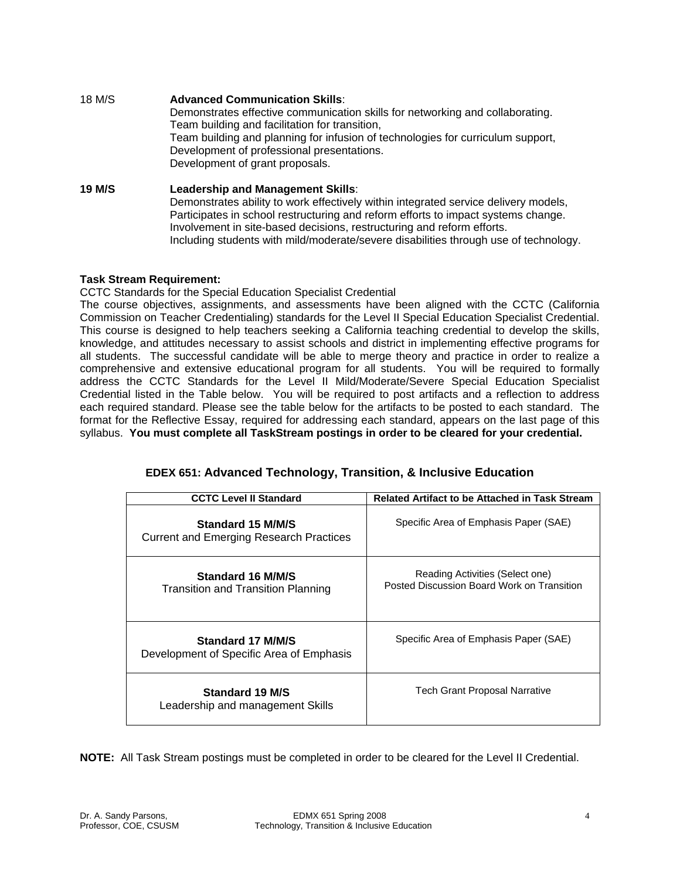| 18 M/S | <b>Advanced Communication Skills:</b><br>Demonstrates effective communication skills for networking and collaborating.<br>Team building and facilitation for transition,<br>Team building and planning for infusion of technologies for curriculum support,<br>Development of professional presentations.<br>Development of grant proposals.                                    |
|--------|---------------------------------------------------------------------------------------------------------------------------------------------------------------------------------------------------------------------------------------------------------------------------------------------------------------------------------------------------------------------------------|
| 19 M/S | Leadership and Management Skills:<br>Demonstrates ability to work effectively within integrated service delivery models,<br>Participates in school restructuring and reform efforts to impact systems change.<br>Involvement in site-based decisions, restructuring and reform efforts.<br>Including students with mild/moderate/severe disabilities through use of technology. |

# **Task Stream Requirement:**

CCTC Standards for the Special Education Specialist Credential

The course objectives, assignments, and assessments have been aligned with the CCTC (California Commission on Teacher Credentialing) standards for the Level II Special Education Specialist Credential. This course is designed to help teachers seeking a California teaching credential to develop the skills, knowledge, and attitudes necessary to assist schools and district in implementing effective programs for all students. The successful candidate will be able to merge theory and practice in order to realize a comprehensive and extensive educational program for all students. You will be required to formally address the CCTC Standards for the Level II Mild/Moderate/Severe Special Education Specialist Credential listed in the Table below. You will be required to post artifacts and a reflection to address each required standard. Please see the table below for the artifacts to be posted to each standard. The format for the Reflective Essay, required for addressing each standard, appears on the last page of this syllabus. **You must complete all TaskStream postings in order to be cleared for your credential.**

| <b>CCTC Level II Standard</b>                                       | <b>Related Artifact to be Attached in Task Stream</b>                         |
|---------------------------------------------------------------------|-------------------------------------------------------------------------------|
| Standard 15 M/M/S<br><b>Current and Emerging Research Practices</b> | Specific Area of Emphasis Paper (SAE)                                         |
| Standard 16 M/M/S<br><b>Transition and Transition Planning</b>      | Reading Activities (Select one)<br>Posted Discussion Board Work on Transition |
| Standard 17 M/M/S<br>Development of Specific Area of Emphasis       | Specific Area of Emphasis Paper (SAE)                                         |
| Standard 19 M/S<br>Leadership and management Skills                 | Tech Grant Proposal Narrative                                                 |

# **EDEX 651: Advanced Technology, Transition, & Inclusive Education**

**NOTE:** All Task Stream postings must be completed in order to be cleared for the Level II Credential.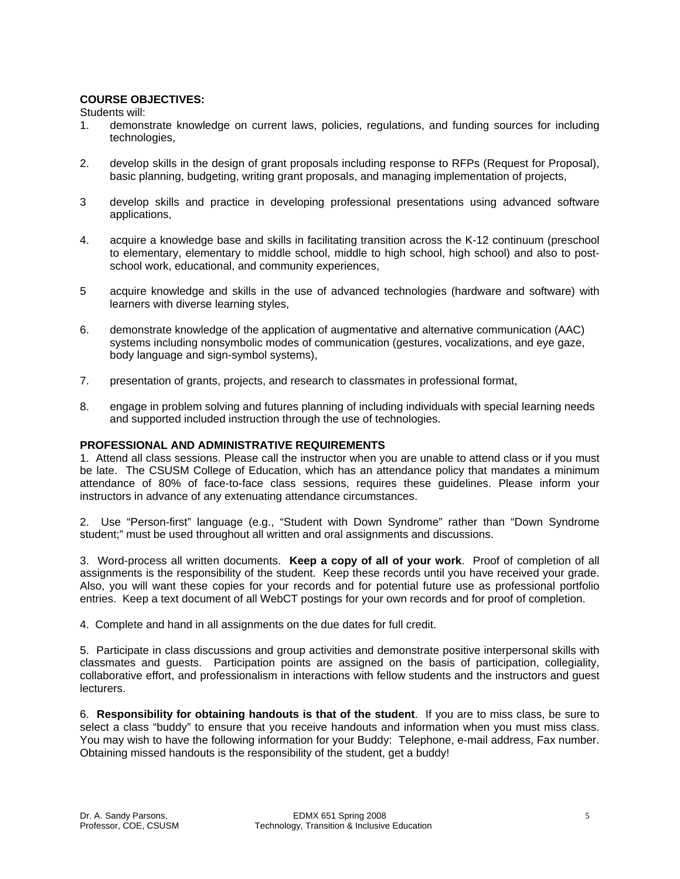# **COURSE OBJECTIVES:**

Students will:

- 1. demonstrate knowledge on current laws, policies, regulations, and funding sources for including technologies,
- 2. develop skills in the design of grant proposals including response to RFPs (Request for Proposal), basic planning, budgeting, writing grant proposals, and managing implementation of projects,
- 3 develop skills and practice in developing professional presentations using advanced software applications,
- 4. acquire a knowledge base and skills in facilitating transition across the K-12 continuum (preschool to elementary, elementary to middle school, middle to high school, high school) and also to postschool work, educational, and community experiences,
- 5 acquire knowledge and skills in the use of advanced technologies (hardware and software) with learners with diverse learning styles,
- 6. demonstrate knowledge of the application of augmentative and alternative communication (AAC) systems including nonsymbolic modes of communication (gestures, vocalizations, and eye gaze, body language and sign-symbol systems),
- 7. presentation of grants, projects, and research to classmates in professional format,
- 8. engage in problem solving and futures planning of including individuals with special learning needs and supported included instruction through the use of technologies.

# **PROFESSIONAL AND ADMINISTRATIVE REQUIREMENTS**

1. Attend all class sessions. Please call the instructor when you are unable to attend class or if you must be late. The CSUSM College of Education, which has an attendance policy that mandates a minimum attendance of 80% of face-to-face class sessions, requires these guidelines. Please inform your instructors in advance of any extenuating attendance circumstances.

2. Use "Person-first" language (e.g., "Student with Down Syndrome" rather than "Down Syndrome student;" must be used throughout all written and oral assignments and discussions.

3. Word-process all written documents. **Keep a copy of all of your work**. Proof of completion of all assignments is the responsibility of the student. Keep these records until you have received your grade. Also, you will want these copies for your records and for potential future use as professional portfolio entries. Keep a text document of all WebCT postings for your own records and for proof of completion.

4. Complete and hand in all assignments on the due dates for full credit.

5. Participate in class discussions and group activities and demonstrate positive interpersonal skills with classmates and guests. Participation points are assigned on the basis of participation, collegiality, collaborative effort, and professionalism in interactions with fellow students and the instructors and guest lecturers.

6. **Responsibility for obtaining handouts is that of the student**. If you are to miss class, be sure to select a class "buddy" to ensure that you receive handouts and information when you must miss class. You may wish to have the following information for your Buddy: Telephone, e-mail address, Fax number. Obtaining missed handouts is the responsibility of the student, get a buddy!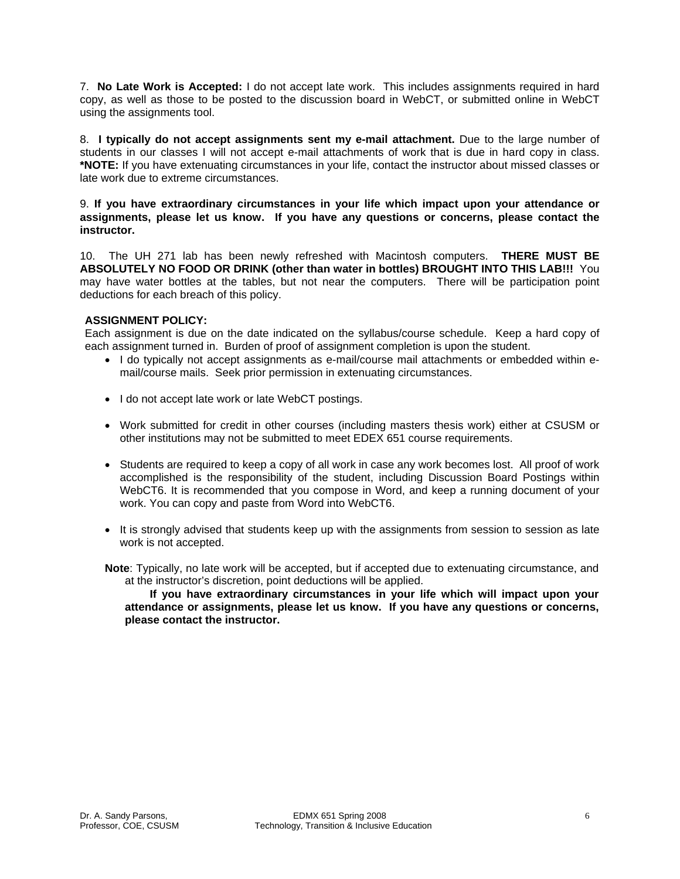7. **No Late Work is Accepted:** I do not accept late work. This includes assignments required in hard copy, as well as those to be posted to the discussion board in WebCT, or submitted online in WebCT using the assignments tool.

8. **I typically do not accept assignments sent my e-mail attachment.** Due to the large number of students in our classes I will not accept e-mail attachments of work that is due in hard copy in class. **\*NOTE:** If you have extenuating circumstances in your life, contact the instructor about missed classes or late work due to extreme circumstances.

9. **If you have extraordinary circumstances in your life which impact upon your attendance or assignments, please let us know. If you have any questions or concerns, please contact the instructor.** 

10. The UH 271 lab has been newly refreshed with Macintosh computers. **THERE MUST BE ABSOLUTELY NO FOOD OR DRINK (other than water in bottles) BROUGHT INTO THIS LAB!!!** You may have water bottles at the tables, but not near the computers. There will be participation point deductions for each breach of this policy.

# **ASSIGNMENT POLICY:**

Each assignment is due on the date indicated on the syllabus/course schedule. Keep a hard copy of each assignment turned in. Burden of proof of assignment completion is upon the student.

- I do typically not accept assignments as e-mail/course mail attachments or embedded within email/course mails. Seek prior permission in extenuating circumstances.
- I do not accept late work or late WebCT postings.
- Work submitted for credit in other courses (including masters thesis work) either at CSUSM or other institutions may not be submitted to meet EDEX 651 course requirements.
- Students are required to keep a copy of all work in case any work becomes lost. All proof of work accomplished is the responsibility of the student, including Discussion Board Postings within WebCT6. It is recommended that you compose in Word, and keep a running document of your work. You can copy and paste from Word into WebCT6.
- It is strongly advised that students keep up with the assignments from session to session as late work is not accepted.
- **Note**: Typically, no late work will be accepted, but if accepted due to extenuating circumstance, and at the instructor's discretion, point deductions will be applied.

 **If you have extraordinary circumstances in your life which will impact upon your attendance or assignments, please let us know. If you have any questions or concerns, please contact the instructor.**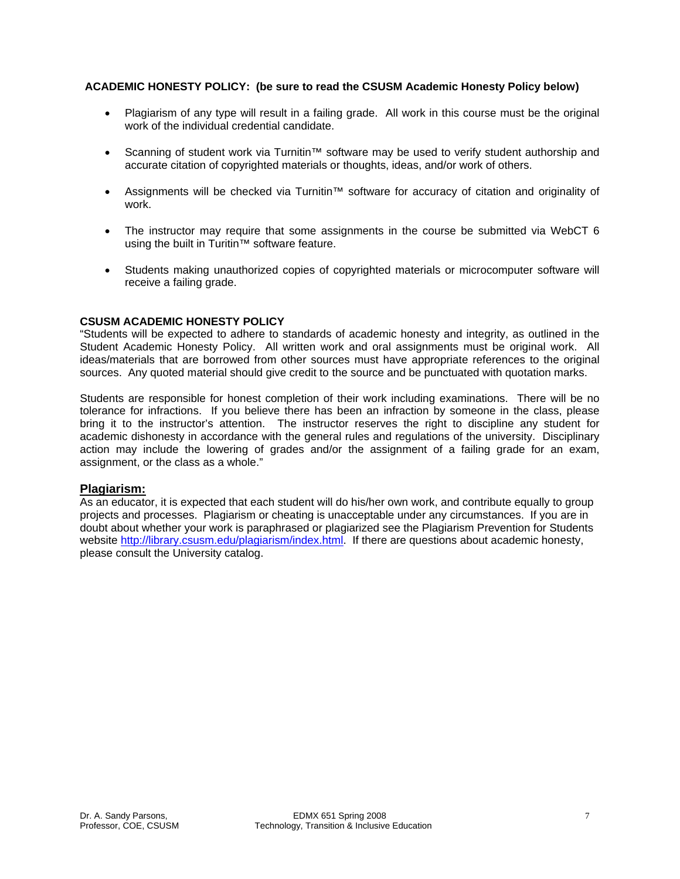# **ACADEMIC HONESTY POLICY: (be sure to read the CSUSM Academic Honesty Policy below)**

- Plagiarism of any type will result in a failing grade. All work in this course must be the original work of the individual credential candidate.
- Scanning of student work via Turnitin™ software may be used to verify student authorship and accurate citation of copyrighted materials or thoughts, ideas, and/or work of others.
- Assignments will be checked via Turnitin™ software for accuracy of citation and originality of work.
- The instructor may require that some assignments in the course be submitted via WebCT 6 using the built in Turitin™ software feature.
- Students making unauthorized copies of copyrighted materials or microcomputer software will receive a failing grade.

# **CSUSM ACADEMIC HONESTY POLICY**

"Students will be expected to adhere to standards of academic honesty and integrity, as outlined in the Student Academic Honesty Policy. All written work and oral assignments must be original work. All ideas/materials that are borrowed from other sources must have appropriate references to the original sources. Any quoted material should give credit to the source and be punctuated with quotation marks.

Students are responsible for honest completion of their work including examinations. There will be no tolerance for infractions. If you believe there has been an infraction by someone in the class, please bring it to the instructor's attention. The instructor reserves the right to discipline any student for academic dishonesty in accordance with the general rules and regulations of the university. Disciplinary action may include the lowering of grades and/or the assignment of a failing grade for an exam, assignment, or the class as a whole."

# **Plagiarism:**

As an educator, it is expected that each student will do his/her own work, and contribute equally to group projects and processes. Plagiarism or cheating is unacceptable under any circumstances. If you are in doubt about whether your work is paraphrased or plagiarized see the Plagiarism Prevention for Students website http://library.csusm.edu/plagiarism/index.html. If there are questions about academic honesty, please consult the University catalog.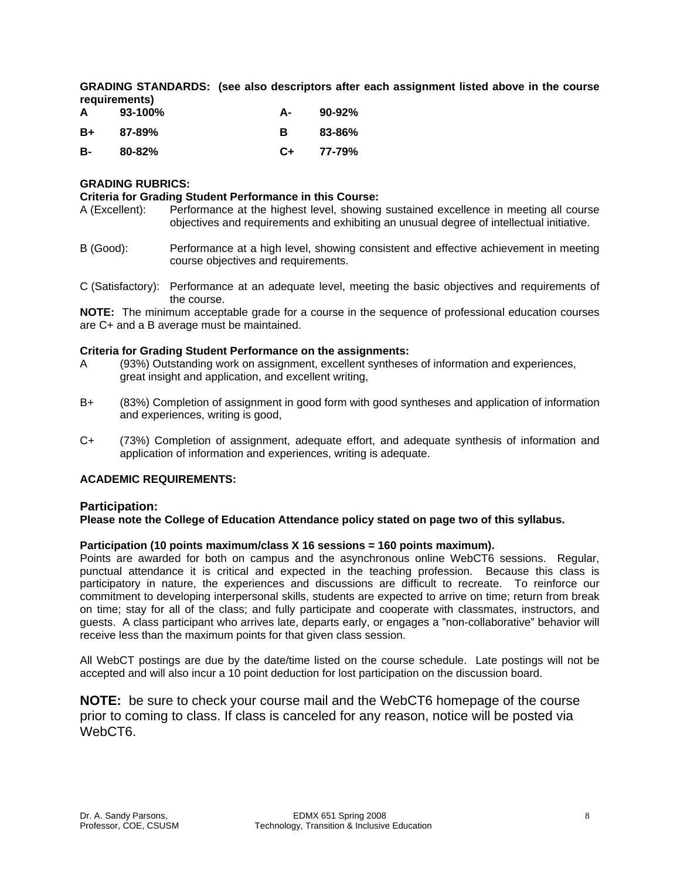**GRADING STANDARDS: (see also descriptors after each assignment listed above in the course requirements)** 

| A  | $93-100\%$ | А- | 90-92% |
|----|------------|----|--------|
| B+ | 87-89%     | в  | 83-86% |
| B- | $80 - 82%$ | C+ | 77-79% |

# **GRADING RUBRICS:**

#### **Criteria for Grading Student Performance in this Course:**

- A (Excellent): Performance at the highest level, showing sustained excellence in meeting all course objectives and requirements and exhibiting an unusual degree of intellectual initiative.
- B (Good): Performance at a high level, showing consistent and effective achievement in meeting course objectives and requirements.
- C (Satisfactory): Performance at an adequate level, meeting the basic objectives and requirements of the course.

**NOTE:** The minimum acceptable grade for a course in the sequence of professional education courses are C+ and a B average must be maintained.

#### **Criteria for Grading Student Performance on the assignments:**

- A (93%) Outstanding work on assignment, excellent syntheses of information and experiences, great insight and application, and excellent writing,
- B+ (83%) Completion of assignment in good form with good syntheses and application of information and experiences, writing is good,
- C+ (73%) Completion of assignment, adequate effort, and adequate synthesis of information and application of information and experiences, writing is adequate.

## **ACADEMIC REQUIREMENTS:**

## **Participation:**

**Please note the College of Education Attendance policy stated on page two of this syllabus.** 

## **Participation (10 points maximum/class X 16 sessions = 160 points maximum).**

Points are awarded for both on campus and the asynchronous online WebCT6 sessions. Regular, punctual attendance it is critical and expected in the teaching profession. Because this class is participatory in nature, the experiences and discussions are difficult to recreate. To reinforce our commitment to developing interpersonal skills, students are expected to arrive on time; return from break on time; stay for all of the class; and fully participate and cooperate with classmates, instructors, and guests. A class participant who arrives late, departs early, or engages a "non-collaborative" behavior will receive less than the maximum points for that given class session.

All WebCT postings are due by the date/time listed on the course schedule. Late postings will not be accepted and will also incur a 10 point deduction for lost participation on the discussion board.

**NOTE:** be sure to check your course mail and the WebCT6 homepage of the course prior to coming to class. If class is canceled for any reason, notice will be posted via WebCT6.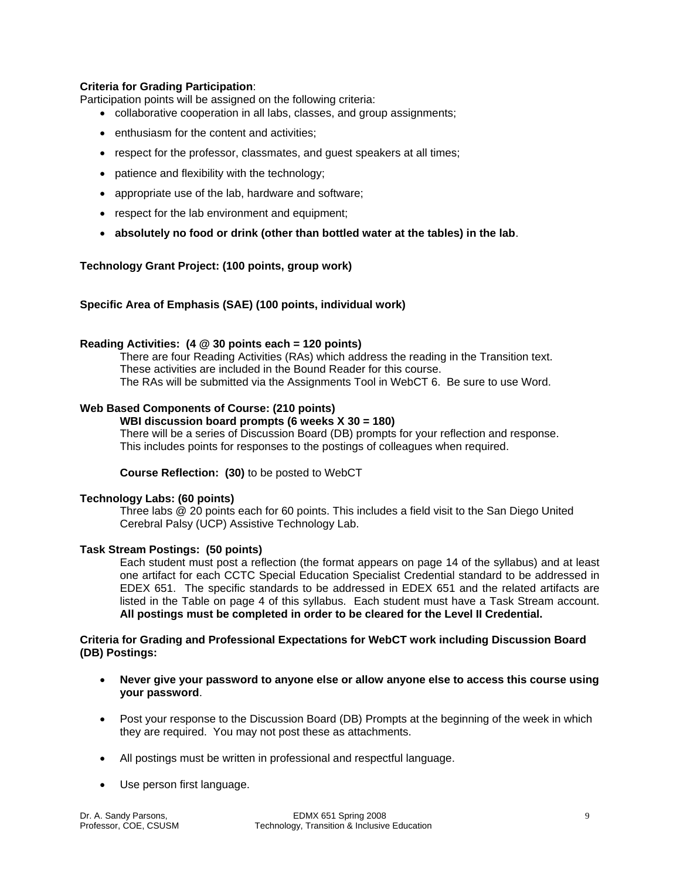# **Criteria for Grading Participation**:

Participation points will be assigned on the following criteria:

- collaborative cooperation in all labs, classes, and group assignments;
- enthusiasm for the content and activities;
- respect for the professor, classmates, and guest speakers at all times;
- patience and flexibility with the technology;
- appropriate use of the lab, hardware and software;
- respect for the lab environment and equipment;
- **absolutely no food or drink (other than bottled water at the tables) in the lab**.

#### **Technology Grant Project: (100 points, group work)**

#### **Specific Area of Emphasis (SAE) (100 points, individual work)**

#### **Reading Activities: (4 @ 30 points each = 120 points)**

 There are four Reading Activities (RAs) which address the reading in the Transition text. These activities are included in the Bound Reader for this course.<br>The RAs will be submitted via the Assignments Tool in WebCT 6. Be sure to use Word.

# **Web Based Components of Course: (210 points)**

## **WBI discussion board prompts (6 weeks X 30 = 180)**

 There will be a series of Discussion Board (DB) prompts for your reflection and response. This includes points for responses to the postings of colleagues when required.

 **Course Reflection: (30)** to be posted to WebCT

#### **Technology Labs: (60 points)**

 Three labs @ 20 points each for 60 points. This includes a field visit to the San Diego United Cerebral Palsy (UCP) Assistive Technology Lab.

#### **Task Stream Postings: (50 points)**

Each student must post a reflection (the format appears on page 14 of the syllabus) and at least one artifact for each CCTC Special Education Specialist Credential standard to be addressed in EDEX 651. The specific standards to be addressed in EDEX 651 and the related artifacts are listed in the Table on page 4 of this syllabus. Each student must have a Task Stream account. **All postings must be completed in order to be cleared for the Level II Credential.**

## **Criteria for Grading and Professional Expectations for WebCT work including Discussion Board (DB) Postings:**

- **Never give your password to anyone else or allow anyone else to access this course using your password**.
- Post your response to the Discussion Board (DB) Prompts at the beginning of the week in which they are required. You may not post these as attachments.
- All postings must be written in professional and respectful language.
- Use person first language.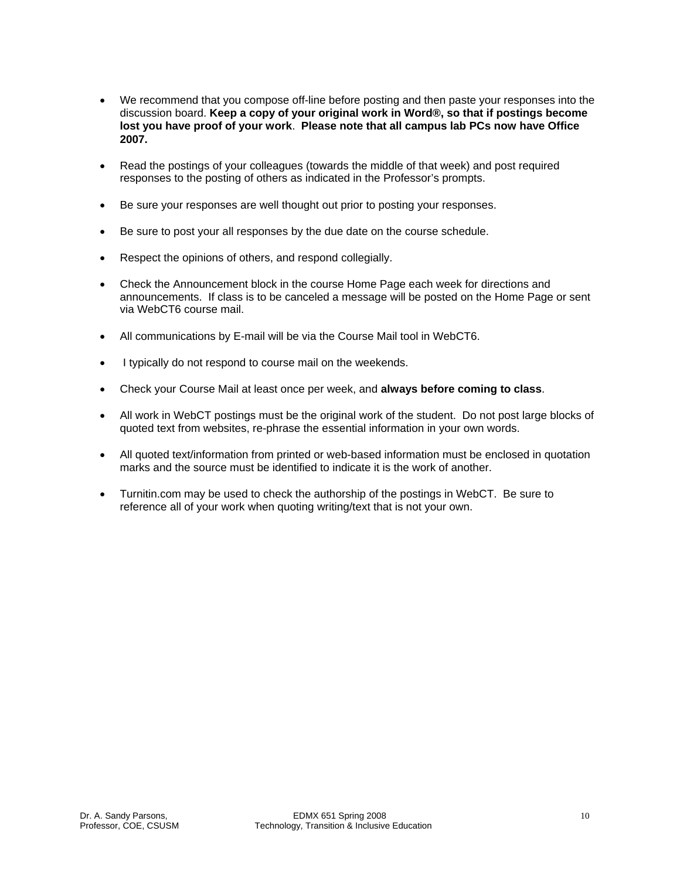- We recommend that you compose off-line before posting and then paste your responses into the discussion board. **Keep a copy of your original work in Word®, so that if postings become lost you have proof of your work**. **Please note that all campus lab PCs now have Office 2007.**
- Read the postings of your colleagues (towards the middle of that week) and post required responses to the posting of others as indicated in the Professor's prompts.
- Be sure your responses are well thought out prior to posting your responses.
- Be sure to post your all responses by the due date on the course schedule.
- Respect the opinions of others, and respond collegially.
- Check the Announcement block in the course Home Page each week for directions and announcements. If class is to be canceled a message will be posted on the Home Page or sent via WebCT6 course mail.
- All communications by E-mail will be via the Course Mail tool in WebCT6.
- I typically do not respond to course mail on the weekends.
- Check your Course Mail at least once per week, and **always before coming to class**.
- All work in WebCT postings must be the original work of the student. Do not post large blocks of quoted text from websites, re-phrase the essential information in your own words.
- All quoted text/information from printed or web-based information must be enclosed in quotation marks and the source must be identified to indicate it is the work of another.
- Turnitin.com may be used to check the authorship of the postings in WebCT. Be sure to reference all of your work when quoting writing/text that is not your own.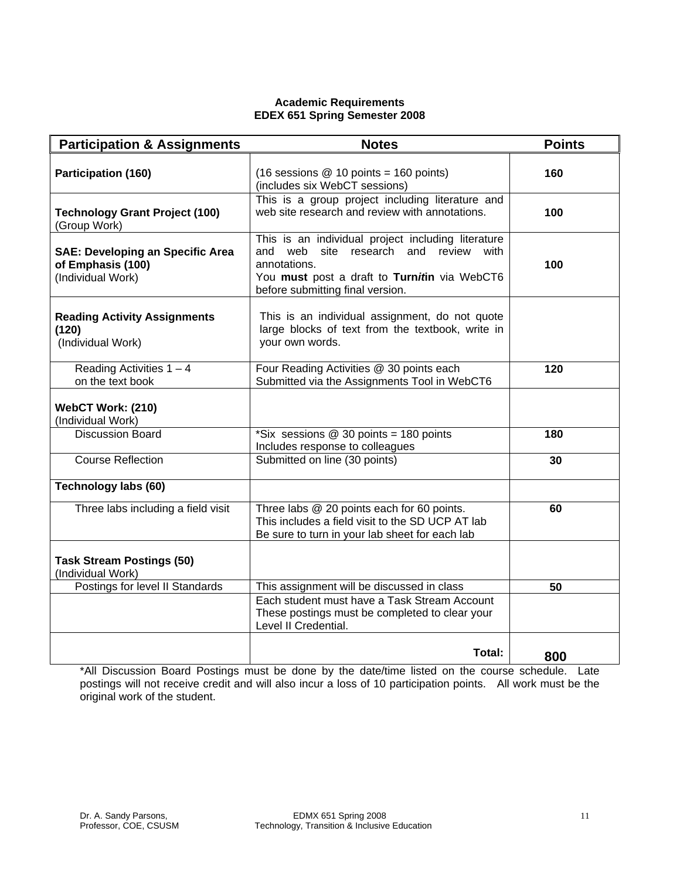# **Academic Requirements EDEX 651 Spring Semester 2008**

| <b>Participation &amp; Assignments</b>                                            | <b>Notes</b>                                                                                                                                                                                       | <b>Points</b> |
|-----------------------------------------------------------------------------------|----------------------------------------------------------------------------------------------------------------------------------------------------------------------------------------------------|---------------|
| <b>Participation (160)</b>                                                        | (16 sessions $@$ 10 points = 160 points)<br>(includes six WebCT sessions)                                                                                                                          | 160           |
| <b>Technology Grant Project (100)</b><br>(Group Work)                             | This is a group project including literature and<br>web site research and review with annotations.                                                                                                 | 100           |
| <b>SAE: Developing an Specific Area</b><br>of Emphasis (100)<br>(Individual Work) | This is an individual project including literature<br>and web<br>site research and review with<br>annotations.<br>You must post a draft to Turnitin via WebCT6<br>before submitting final version. | 100           |
| <b>Reading Activity Assignments</b><br>(120)<br>(Individual Work)                 | This is an individual assignment, do not quote<br>large blocks of text from the textbook, write in<br>your own words.                                                                              |               |
| Reading Activities $1 - 4$<br>on the text book                                    | Four Reading Activities @ 30 points each<br>Submitted via the Assignments Tool in WebCT6                                                                                                           | 120           |
| WebCT Work: (210)<br>(Individual Work)                                            |                                                                                                                                                                                                    |               |
| <b>Discussion Board</b>                                                           | *Six sessions $@$ 30 points = 180 points<br>Includes response to colleagues                                                                                                                        | 180           |
| <b>Course Reflection</b>                                                          | Submitted on line (30 points)                                                                                                                                                                      | 30            |
| <b>Technology labs (60)</b>                                                       |                                                                                                                                                                                                    |               |
| Three labs including a field visit                                                | Three labs @ 20 points each for 60 points.<br>This includes a field visit to the SD UCP AT lab<br>Be sure to turn in your lab sheet for each lab                                                   | 60            |
| <b>Task Stream Postings (50)</b><br>(Individual Work)                             |                                                                                                                                                                                                    |               |
| Postings for level II Standards                                                   | This assignment will be discussed in class                                                                                                                                                         | 50            |
|                                                                                   | Each student must have a Task Stream Account<br>These postings must be completed to clear your<br>Level II Credential.                                                                             |               |
|                                                                                   | Total:                                                                                                                                                                                             | 800           |

\*All Discussion Board Postings must be done by the date/time listed on the course schedule. Late postings will not receive credit and will also incur a loss of 10 participation points. All work must be the original work of the student.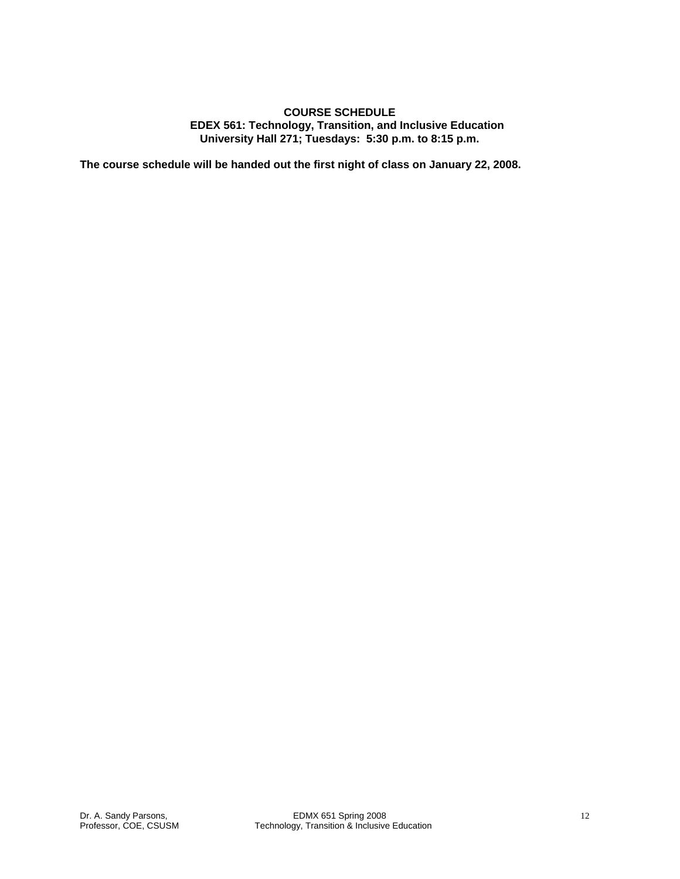## **COURSE SCHEDULE EDEX 561: Technology, Transition, and Inclusive Education University Hall 271; Tuesdays: 5:30 p.m. to 8:15 p.m.**

**The course schedule will be handed out the first night of class on January 22, 2008.**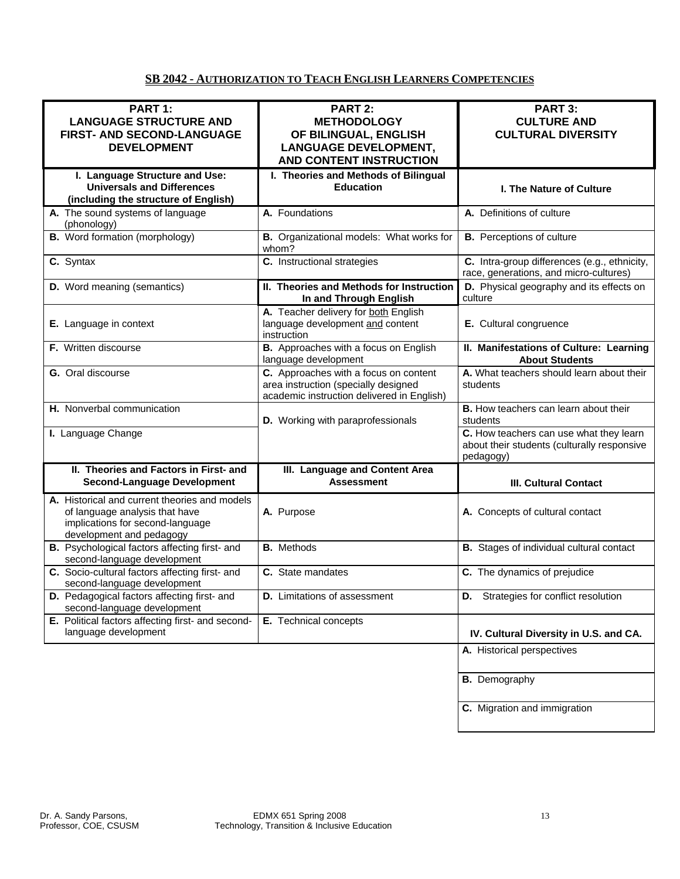# **SB 2042 - AUTHORIZATION TO TEACH ENGLISH LEARNERS COMPETENCIES**

| PART 1:<br><b>LANGUAGE STRUCTURE AND</b><br>FIRST- AND SECOND-LANGUAGE                                                                          | PART 2:<br><b>METHODOLOGY</b><br>OF BILINGUAL, ENGLISH                                                                      | PART 3:<br><b>CULTURE AND</b><br><b>CULTURAL DIVERSITY</b>                                          |  |
|-------------------------------------------------------------------------------------------------------------------------------------------------|-----------------------------------------------------------------------------------------------------------------------------|-----------------------------------------------------------------------------------------------------|--|
| <b>DEVELOPMENT</b>                                                                                                                              | <b>LANGUAGE DEVELOPMENT,</b><br><b>AND CONTENT INSTRUCTION</b>                                                              |                                                                                                     |  |
| I. Language Structure and Use:<br><b>Universals and Differences</b><br>(including the structure of English)                                     | I. Theories and Methods of Bilingual<br><b>Education</b>                                                                    | <b>I. The Nature of Culture</b>                                                                     |  |
| A. The sound systems of language<br>(phonology)                                                                                                 | A. Foundations                                                                                                              | A. Definitions of culture                                                                           |  |
| <b>B.</b> Word formation (morphology)                                                                                                           | B. Organizational models: What works for<br>whom?                                                                           | <b>B.</b> Perceptions of culture                                                                    |  |
| C. Syntax                                                                                                                                       | C. Instructional strategies                                                                                                 | C. Intra-group differences (e.g., ethnicity,<br>race, generations, and micro-cultures)              |  |
| D. Word meaning (semantics)                                                                                                                     | II. Theories and Methods for Instruction<br>In and Through English                                                          | D. Physical geography and its effects on<br>culture                                                 |  |
| E. Language in context                                                                                                                          | A. Teacher delivery for both English<br>language development and content<br>instruction                                     | E. Cultural congruence                                                                              |  |
| F. Written discourse                                                                                                                            | B. Approaches with a focus on English<br>language development                                                               | II. Manifestations of Culture: Learning<br><b>About Students</b>                                    |  |
| G. Oral discourse                                                                                                                               | C. Approaches with a focus on content<br>area instruction (specially designed<br>academic instruction delivered in English) | A. What teachers should learn about their<br>students                                               |  |
| H. Nonverbal communication                                                                                                                      | D. Working with paraprofessionals                                                                                           | <b>B.</b> How teachers can learn about their<br>students                                            |  |
| I. Language Change                                                                                                                              |                                                                                                                             | C. How teachers can use what they learn<br>about their students (culturally responsive<br>pedagogy) |  |
| II. Theories and Factors in First- and<br><b>Second-Language Development</b>                                                                    | III. Language and Content Area<br><b>Assessment</b>                                                                         | <b>III. Cultural Contact</b>                                                                        |  |
| A. Historical and current theories and models<br>of language analysis that have<br>implications for second-language<br>development and pedagogy | A. Purpose                                                                                                                  | A. Concepts of cultural contact                                                                     |  |
| B. Psychological factors affecting first- and<br>second-language development                                                                    | <b>B.</b> Methods                                                                                                           | <b>B.</b> Stages of individual cultural contact                                                     |  |
| C. Socio-cultural factors affecting first- and<br>second-language development                                                                   | C. State mandates                                                                                                           | C. The dynamics of prejudice                                                                        |  |
| D. Pedagogical factors affecting first- and<br>second-language development                                                                      | <b>D.</b> Limitations of assessment                                                                                         | D. Strategies for conflict resolution                                                               |  |
| E. Political factors affecting first- and second-<br>language development                                                                       | E. Technical concepts                                                                                                       | IV. Cultural Diversity in U.S. and CA.                                                              |  |
|                                                                                                                                                 |                                                                                                                             | A. Historical perspectives                                                                          |  |
|                                                                                                                                                 |                                                                                                                             | <b>B.</b> Demography                                                                                |  |
|                                                                                                                                                 |                                                                                                                             | C. Migration and immigration                                                                        |  |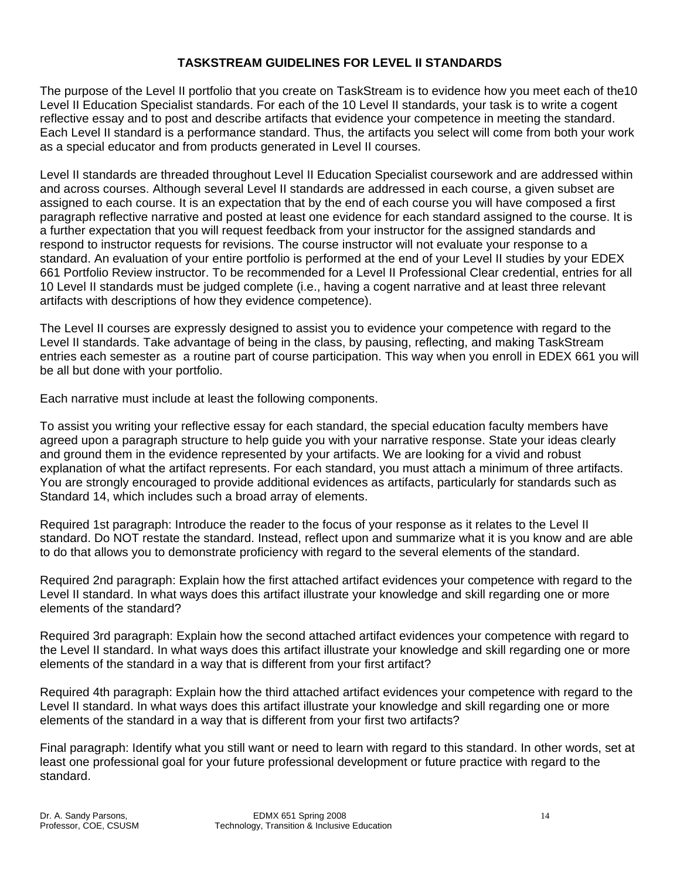# **TASKSTREAM GUIDELINES FOR LEVEL II STANDARDS**

The purpose of the Level II portfolio that you create on TaskStream is to evidence how you meet each of the10 Level II Education Specialist standards. For each of the 10 Level II standards, your task is to write a cogent reflective essay and to post and describe artifacts that evidence your competence in meeting the standard. Each Level II standard is a performance standard. Thus, the artifacts you select will come from both your work as a special educator and from products generated in Level II courses.

Level II standards are threaded throughout Level II Education Specialist coursework and are addressed within and across courses. Although several Level II standards are addressed in each course, a given subset are assigned to each course. It is an expectation that by the end of each course you will have composed a first paragraph reflective narrative and posted at least one evidence for each standard assigned to the course. It is a further expectation that you will request feedback from your instructor for the assigned standards and respond to instructor requests for revisions. The course instructor will not evaluate your response to a standard. An evaluation of your entire portfolio is performed at the end of your Level II studies by your EDEX 661 Portfolio Review instructor. To be recommended for a Level II Professional Clear credential, entries for all 10 Level II standards must be judged complete (i.e., having a cogent narrative and at least three relevant artifacts with descriptions of how they evidence competence).

The Level II courses are expressly designed to assist you to evidence your competence with regard to the Level II standards. Take advantage of being in the class, by pausing, reflecting, and making TaskStream entries each semester as a routine part of course participation. This way when you enroll in EDEX 661 you will be all but done with your portfolio.

Each narrative must include at least the following components.

To assist you writing your reflective essay for each standard, the special education faculty members have agreed upon a paragraph structure to help guide you with your narrative response. State your ideas clearly and ground them in the evidence represented by your artifacts. We are looking for a vivid and robust explanation of what the artifact represents. For each standard, you must attach a minimum of three artifacts. You are strongly encouraged to provide additional evidences as artifacts, particularly for standards such as Standard 14, which includes such a broad array of elements.

Required 1st paragraph: Introduce the reader to the focus of your response as it relates to the Level II standard. Do NOT restate the standard. Instead, reflect upon and summarize what it is you know and are able to do that allows you to demonstrate proficiency with regard to the several elements of the standard.

Required 2nd paragraph: Explain how the first attached artifact evidences your competence with regard to the Level II standard. In what ways does this artifact illustrate your knowledge and skill regarding one or more elements of the standard?

Required 3rd paragraph: Explain how the second attached artifact evidences your competence with regard to the Level II standard. In what ways does this artifact illustrate your knowledge and skill regarding one or more elements of the standard in a way that is different from your first artifact?

Required 4th paragraph: Explain how the third attached artifact evidences your competence with regard to the Level II standard. In what ways does this artifact illustrate your knowledge and skill regarding one or more elements of the standard in a way that is different from your first two artifacts?

Final paragraph: Identify what you still want or need to learn with regard to this standard. In other words, set at least one professional goal for your future professional development or future practice with regard to the standard.